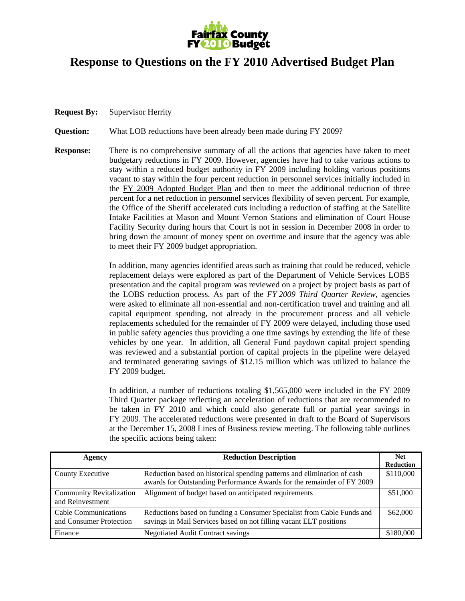

## **Response to Questions on the FY 2010 Advertised Budget Plan**

**Request By:** Supervisor Herrity

**Question:** What LOB reductions have been already been made during FY 2009?

**Response:** There is no comprehensive summary of all the actions that agencies have taken to meet budgetary reductions in FY 2009. However, agencies have had to take various actions to stay within a reduced budget authority in FY 2009 including holding various positions vacant to stay within the four percent reduction in personnel services initially included in the FY 2009 Adopted Budget Plan and then to meet the additional reduction of three percent for a net reduction in personnel services flexibility of seven percent. For example, the Office of the Sheriff accelerated cuts including a reduction of staffing at the Satellite Intake Facilities at Mason and Mount Vernon Stations and elimination of Court House Facility Security during hours that Court is not in session in December 2008 in order to bring down the amount of money spent on overtime and insure that the agency was able to meet their FY 2009 budget appropriation.

> In addition, many agencies identified areas such as training that could be reduced, vehicle replacement delays were explored as part of the Department of Vehicle Services LOBS presentation and the capital program was reviewed on a project by project basis as part of the LOBS reduction process. As part of the *FY 2009 Third Quarter Review*, agencies were asked to eliminate all non-essential and non-certification travel and training and all capital equipment spending, not already in the procurement process and all vehicle replacements scheduled for the remainder of FY 2009 were delayed, including those used in public safety agencies thus providing a one time savings by extending the life of these vehicles by one year. In addition, all General Fund paydown capital project spending was reviewed and a substantial portion of capital projects in the pipeline were delayed and terminated generating savings of \$12.15 million which was utilized to balance the FY 2009 budget.

> In addition, a number of reductions totaling \$1,565,000 were included in the FY 2009 Third Quarter package reflecting an acceleration of reductions that are recommended to be taken in FY 2010 and which could also generate full or partial year savings in FY 2009. The accelerated reductions were presented in draft to the Board of Supervisors at the December 15, 2008 Lines of Business review meeting. The following table outlines the specific actions being taken:

| Agency                                              | <b>Reduction Description</b>                                                                                                                      | <b>Net</b>       |
|-----------------------------------------------------|---------------------------------------------------------------------------------------------------------------------------------------------------|------------------|
|                                                     |                                                                                                                                                   | <b>Reduction</b> |
| County Executive                                    | Reduction based on historical spending patterns and elimination of cash<br>awards for Outstanding Performance Awards for the remainder of FY 2009 | \$110,000        |
| <b>Community Revitalization</b><br>and Reinvestment | Alignment of budget based on anticipated requirements                                                                                             | \$51,000         |
| Cable Communications<br>and Consumer Protection     | Reductions based on funding a Consumer Specialist from Cable Funds and<br>savings in Mail Services based on not filling vacant ELT positions      | \$62,000         |
| Finance                                             | <b>Negotiated Audit Contract savings</b>                                                                                                          | \$180,000        |